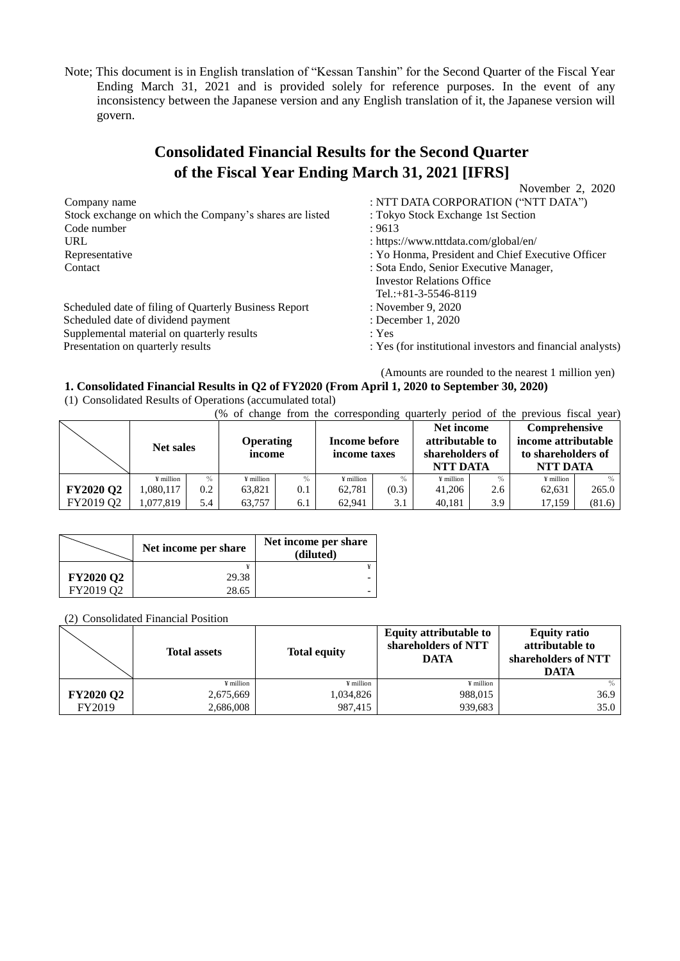Note; This document is in English translation of "Kessan Tanshin" for the Second Quarter of the Fiscal Year Ending March 31, 2021 and is provided solely for reference purposes. In the event of any inconsistency between the Japanese version and any English translation of it, the Japanese version will govern.

# **Consolidated Financial Results for the Second Quarter of the Fiscal Year Ending March 31, 2021 [IFRS]**

November 2, 2020

| Company name                                            | : NTT DATA CORPORATION ("NTT DATA")                        |
|---------------------------------------------------------|------------------------------------------------------------|
| Stock exchange on which the Company's shares are listed | : Tokyo Stock Exchange 1st Section                         |
| Code number                                             | : 9613                                                     |
| URL                                                     | : https://www.nttdata.com/global/en/                       |
| Representative                                          | : Yo Honma, President and Chief Executive Officer          |
| Contact                                                 | : Sota Endo, Senior Executive Manager,                     |
|                                                         | <b>Investor Relations Office</b>                           |
|                                                         | Tel.: $+81-3-5546-8119$                                    |
| Scheduled date of filing of Quarterly Business Report   | : November 9, 2020                                         |
| Scheduled date of dividend payment                      | : December 1, 2020                                         |
| Supplemental material on quarterly results              | : Yes                                                      |
| Presentation on quarterly results                       | : Yes (for institutional investors and financial analysts) |
|                                                         |                                                            |

(Amounts are rounded to the nearest 1 million yen)

## **1. Consolidated Financial Results in Q2 of FY2020 (From April 1, 2020 to September 30, 2020)**

(1) Consolidated Results of Operations (accumulated total)

| (% of change from the corresponding quarterly period of the previous fiscal year) |                  |      |                            |      |                               |       |                                                              |               |                                                                        |               |
|-----------------------------------------------------------------------------------|------------------|------|----------------------------|------|-------------------------------|-------|--------------------------------------------------------------|---------------|------------------------------------------------------------------------|---------------|
|                                                                                   | <b>Net sales</b> |      | <b>Operating</b><br>income |      | Income before<br>income taxes |       | Net income<br>attributable to<br>shareholders of<br>NTT DATA |               | Comprehensive<br>income attributable<br>to shareholders of<br>NTT DATA |               |
|                                                                                   | ¥ million        | $\%$ | $\frac{1}{2}$ million      | $\%$ | $\frac{1}{2}$ million         | $\%$  | $\frac{1}{2}$ million                                        | $\frac{0}{6}$ | $\frac{1}{2}$ million                                                  | $\frac{0}{6}$ |
| <b>FY2020 Q2</b>                                                                  | 1,080,117        | 0.2  | 63,821                     | 0.1  | 62.781                        | (0.3) | 41,206                                                       | 2.6           | 62,631                                                                 | 265.0         |
| FY2019 Q2                                                                         | 1,077,819        | 5.4  | 63,757                     | 6.1  | 62.941                        | 3.1   | 40,181                                                       | 3.9           | 17,159                                                                 | (81.6)        |

|                  | Net income per share | Net income per share<br>(diluted) |
|------------------|----------------------|-----------------------------------|
|                  |                      |                                   |
| <b>FY2020 Q2</b> | 29.38                |                                   |
| FY2019 O2        | 28.65                |                                   |

#### (2) Consolidated Financial Position

|                  | <b>Total assets</b> | <b>Total equity</b> | <b>Equity attributable to</b><br>shareholders of NTT<br><b>DATA</b> | <b>Equity ratio</b><br>attributable to<br>shareholders of NTT<br><b>DATA</b> |
|------------------|---------------------|---------------------|---------------------------------------------------------------------|------------------------------------------------------------------------------|
|                  | ¥ million           | ¥ million           | ¥ million                                                           | %                                                                            |
| <b>FY2020 Q2</b> | 2,675,669           | 1,034,826           | 988,015                                                             | 36.9                                                                         |
| FY2019           | 2.686,008           | 987.415             | 939,683                                                             | 35.0                                                                         |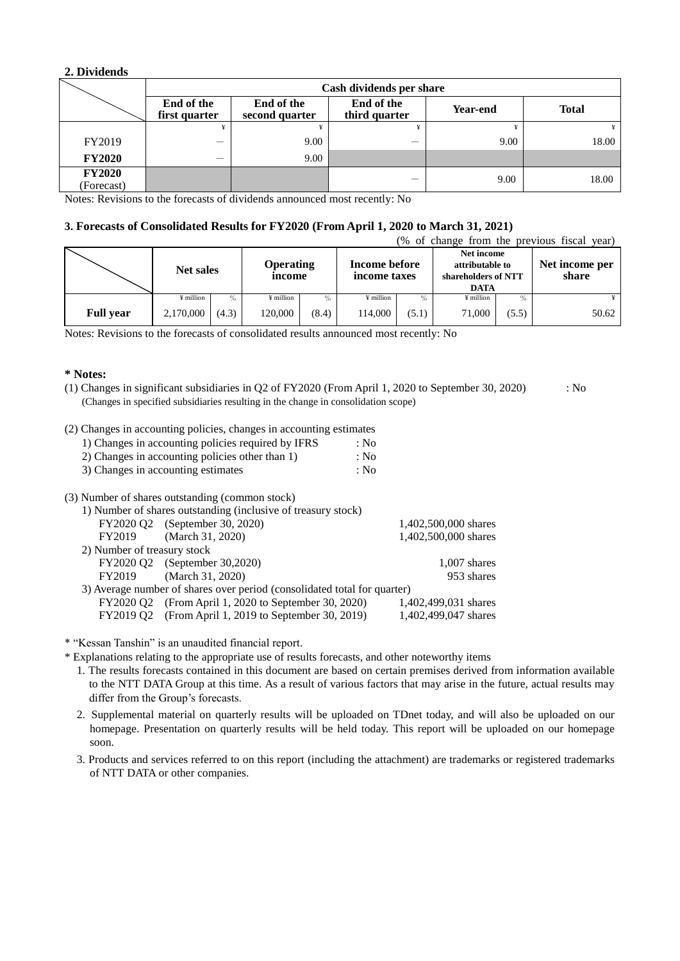### **2. Dividends**

|                             | Cash dividends per share    |                              |                             |          |              |  |  |  |
|-----------------------------|-----------------------------|------------------------------|-----------------------------|----------|--------------|--|--|--|
|                             | End of the<br>first quarter | End of the<br>second quarter | End of the<br>third quarter | Year-end | <b>Total</b> |  |  |  |
|                             |                             |                              |                             |          | ¥            |  |  |  |
| FY2019                      |                             | 9.00                         |                             | 9.00     | 18.00        |  |  |  |
| <b>FY2020</b>               | —                           | 9.00                         |                             |          |              |  |  |  |
| <b>FY2020</b><br>(Forecast) |                             |                              |                             | 9.00     | 18.00        |  |  |  |

Notes: Revisions to the forecasts of dividends announced most recently: No

## **3. Forecasts of Consolidated Results for FY2020 (From April 1, 2020 to March 31, 2021)**

| (% of change from the previous fiscal year) |           |       |                       |       |                               |       |                                                                     |               |                         |
|---------------------------------------------|-----------|-------|-----------------------|-------|-------------------------------|-------|---------------------------------------------------------------------|---------------|-------------------------|
|                                             | Net sales |       | Operating<br>income   |       | Income before<br>income taxes |       | Net income<br>attributable to<br>shareholders of NTT<br><b>DATA</b> |               | Net income per<br>share |
|                                             | ¥ million | $\%$  | $\frac{1}{2}$ million | $\%$  | ¥ million                     | $\%$  | $\frac{1}{2}$ million                                               | $\frac{0}{0}$ | ¥                       |
| <b>Full year</b>                            | 2,170,000 | (4.3) | 120,000               | (8.4) | 114,000                       | (5.1) | 71,000                                                              | (5.5)         | 50.62                   |

Notes: Revisions to the forecasts of consolidated results announced most recently: No

#### **\* Notes:**

- (1) Changes in significant subsidiaries in Q2 of FY2020 (From April 1, 2020 to September 30, 2020) : No (Changes in specified subsidiaries resulting in the change in consolidation scope)
	-

- (2) Changes in accounting policies, changes in accounting estimates
	- 1) Changes in accounting policies required by IFRS : No
	- 2) Changes in accounting policies other than 1) : No
	- 3) Changes in accounting estimates : No
- (3) Number of shares outstanding (common stock)

|                                                                          | 1) Number of shares outstanding (inclusive of treasury stock) |                      |  |  |  |
|--------------------------------------------------------------------------|---------------------------------------------------------------|----------------------|--|--|--|
|                                                                          | FY2020 Q2 (September 30, 2020)                                | 1,402,500,000 shares |  |  |  |
|                                                                          | FY2019 (March 31, 2020)                                       | 1,402,500,000 shares |  |  |  |
| 2) Number of treasury stock                                              |                                                               |                      |  |  |  |
|                                                                          | FY2020 Q2 (September 30,2020)                                 | $1,007$ shares       |  |  |  |
| FY2019                                                                   | (March 31, 2020)                                              | 953 shares           |  |  |  |
| 3) Average number of shares over period (consolidated total for quarter) |                                                               |                      |  |  |  |
|                                                                          | FY2020 Q2 (From April 1, 2020 to September 30, 2020)          | 1,402,499,031 shares |  |  |  |
|                                                                          | FY2019 Q2 (From April 1, 2019 to September 30, 2019)          | 1,402,499,047 shares |  |  |  |
|                                                                          |                                                               |                      |  |  |  |

\* "Kessan Tanshin" is an unaudited financial report.

\* Explanations relating to the appropriate use of results forecasts, and other noteworthy items

- 1. The results forecasts contained in this document are based on certain premises derived from information available to the NTT DATA Group at this time. As a result of various factors that may arise in the future, actual results may differ from the Group's forecasts.
- 2. Supplemental material on quarterly results will be uploaded on TDnet today, and will also be uploaded on our homepage. Presentation on quarterly results will be held today. This report will be uploaded on our homepage soon.
- 3. Products and services referred to on this report (including the attachment) are trademarks or registered trademarks of NTT DATA or other companies.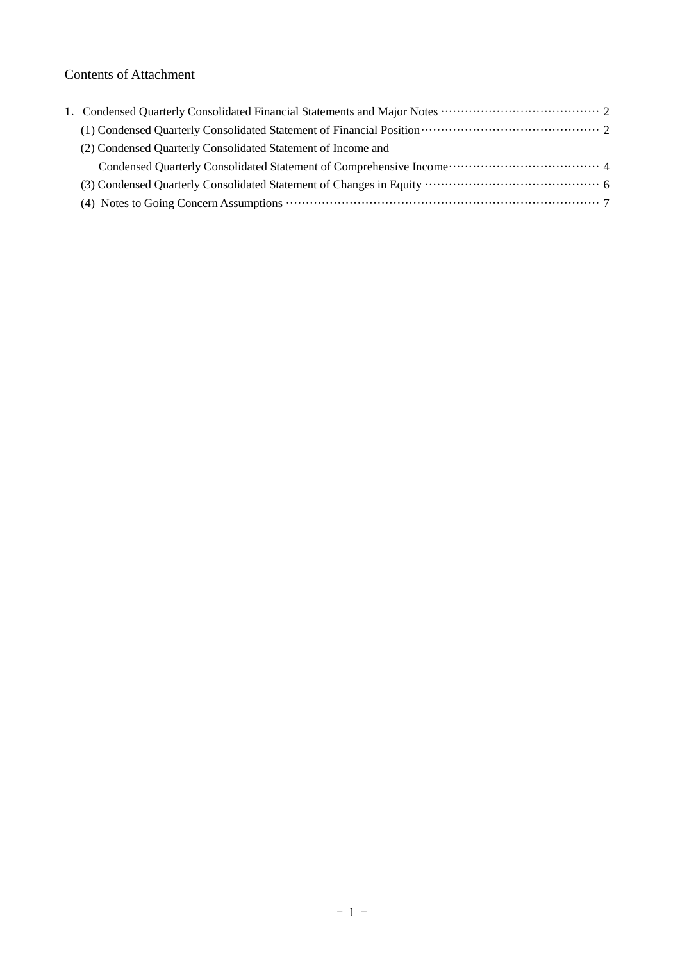## Contents of Attachment

| (1) Condensed Quarterly Consolidated Statement of Financial Position ( <i>n</i> ) Condensed Quarterly Consolidated Statement of Financial Position ( <i>n</i> ) ( <i>n</i> ) and ( <i>n</i> ) and ( <i>n</i> ) and ( <i>n</i> ) and ( <i>n</i> ) and ( <i>n</i> ) and ( <i>n</i> ) and ( <i>n</i> ) |  |
|-----------------------------------------------------------------------------------------------------------------------------------------------------------------------------------------------------------------------------------------------------------------------------------------------------|--|
| (2) Condensed Quarterly Consolidated Statement of Income and                                                                                                                                                                                                                                        |  |
|                                                                                                                                                                                                                                                                                                     |  |
|                                                                                                                                                                                                                                                                                                     |  |
|                                                                                                                                                                                                                                                                                                     |  |
|                                                                                                                                                                                                                                                                                                     |  |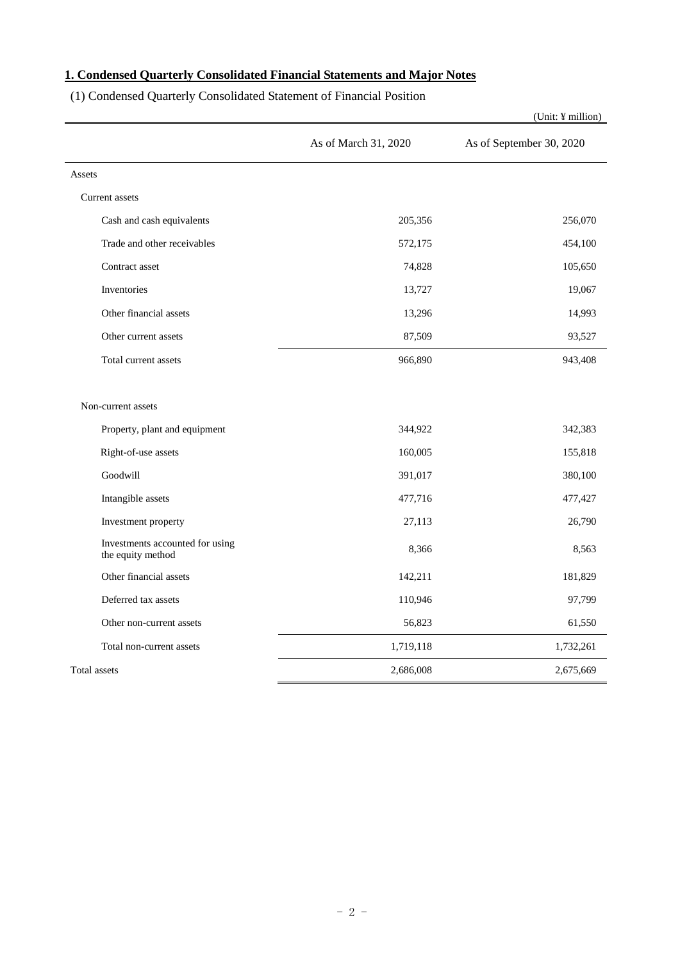## **1. Condensed Quarterly Consolidated Financial Statements and Major Notes**

(1) Condensed Quarterly Consolidated Statement of Financial Position

|                                                      |                      | (Unit: ¥ million)        |
|------------------------------------------------------|----------------------|--------------------------|
|                                                      | As of March 31, 2020 | As of September 30, 2020 |
| Assets                                               |                      |                          |
| Current assets                                       |                      |                          |
| Cash and cash equivalents                            | 205,356              | 256,070                  |
| Trade and other receivables                          | 572,175              | 454,100                  |
| Contract asset                                       | 74,828               | 105,650                  |
| Inventories                                          | 13,727               | 19,067                   |
| Other financial assets                               | 13,296               | 14,993                   |
| Other current assets                                 | 87,509               | 93,527                   |
| Total current assets                                 | 966,890              | 943,408                  |
| Non-current assets                                   |                      |                          |
| Property, plant and equipment                        | 344,922              | 342,383                  |
| Right-of-use assets                                  | 160,005              | 155,818                  |
| Goodwill                                             | 391,017              | 380,100                  |
| Intangible assets                                    | 477,716              | 477,427                  |
| Investment property                                  | 27,113               | 26,790                   |
| Investments accounted for using<br>the equity method | 8,366                | 8,563                    |
| Other financial assets                               | 142,211              | 181,829                  |
| Deferred tax assets                                  | 110,946              | 97,799                   |
| Other non-current assets                             | 56,823               | 61,550                   |
| Total non-current assets                             | 1,719,118            | 1,732,261                |
| <b>Total</b> assets                                  | 2,686,008            | 2,675,669                |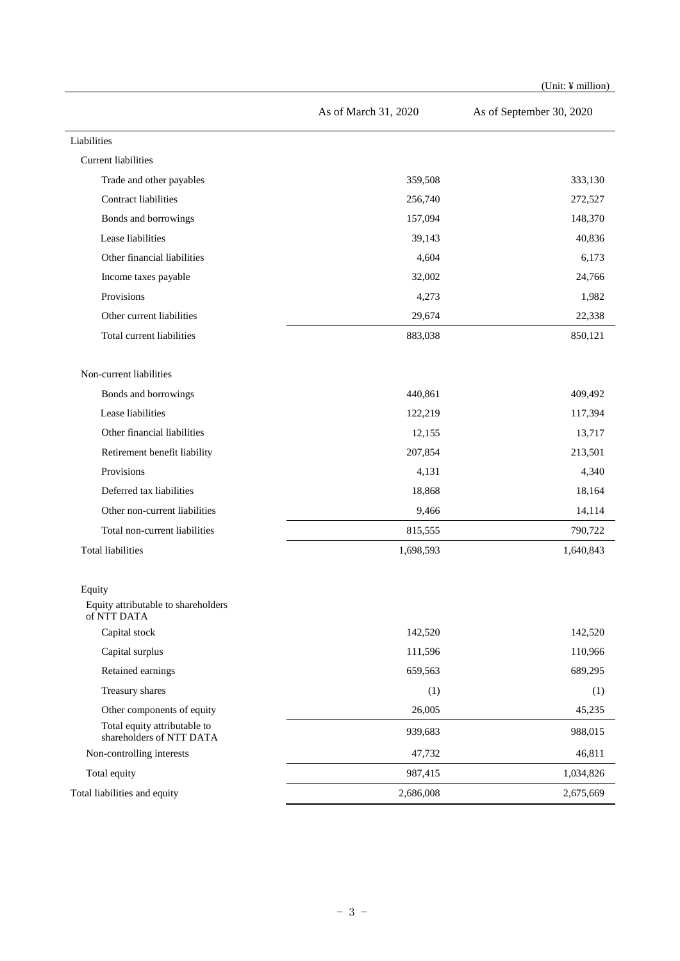|                                                          |                      | (Unit: ¥ million)        |
|----------------------------------------------------------|----------------------|--------------------------|
|                                                          | As of March 31, 2020 | As of September 30, 2020 |
| Liabilities                                              |                      |                          |
| Current liabilities                                      |                      |                          |
| Trade and other payables                                 | 359,508              | 333,130                  |
| Contract liabilities                                     | 256,740              | 272,527                  |
| Bonds and borrowings                                     | 157,094              | 148,370                  |
| Lease liabilities                                        | 39,143               | 40,836                   |
| Other financial liabilities                              | 4,604                | 6,173                    |
| Income taxes payable                                     | 32,002               | 24,766                   |
| Provisions                                               | 4,273                | 1,982                    |
| Other current liabilities                                | 29,674               | 22,338                   |
| Total current liabilities                                | 883,038              | 850,121                  |
| Non-current liabilities                                  |                      |                          |
| Bonds and borrowings                                     | 440,861              | 409,492                  |
| Lease liabilities                                        | 122,219              | 117,394                  |
| Other financial liabilities                              | 12,155               | 13,717                   |
| Retirement benefit liability                             | 207,854              | 213,501                  |
| Provisions                                               | 4,131                | 4,340                    |
| Deferred tax liabilities                                 | 18,868               | 18,164                   |
| Other non-current liabilities                            | 9,466                | 14,114                   |
| Total non-current liabilities                            | 815,555              | 790,722                  |
| <b>Total liabilities</b>                                 | 1,698,593            | 1,640,843                |
| Equity                                                   |                      |                          |
| Equity attributable to shareholders<br>of NTT DATA       |                      |                          |
| Capital stock                                            | 142,520              | 142,520                  |
| Capital surplus                                          | 111,596              | 110,966                  |
| Retained earnings                                        | 659,563              | 689,295                  |
| Treasury shares                                          | (1)                  | (1)                      |
| Other components of equity                               | 26,005               | 45,235                   |
| Total equity attributable to<br>shareholders of NTT DATA | 939,683              | 988,015                  |
| Non-controlling interests                                | 47,732               | 46,811                   |
| Total equity                                             | 987,415              | 1,034,826                |
| Total liabilities and equity                             | 2,686,008            | 2,675,669                |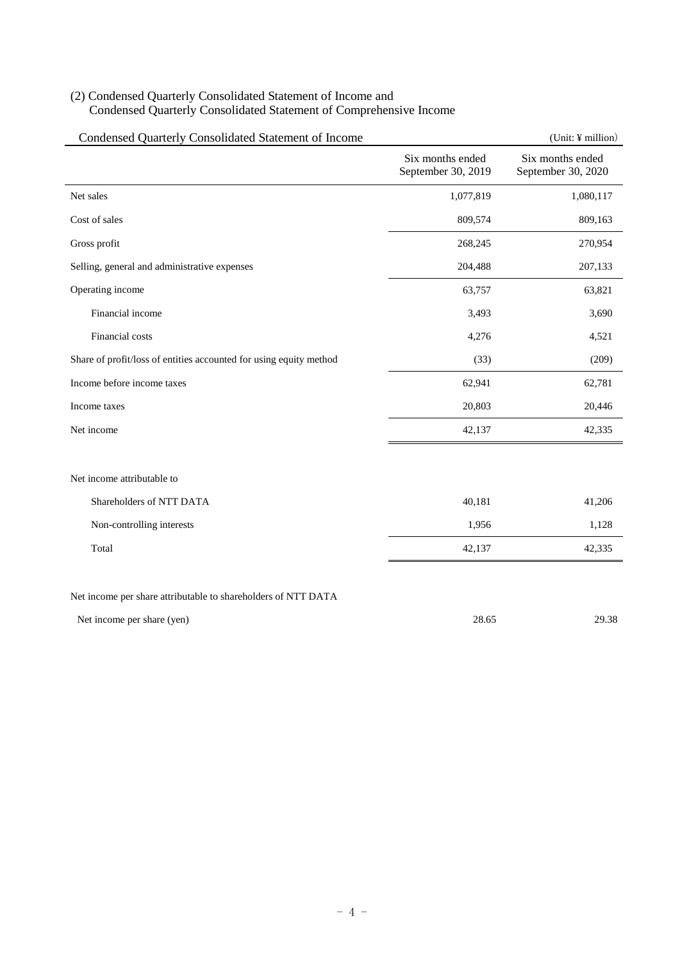## (2) Condensed Quarterly Consolidated Statement of Income and Condensed Quarterly Consolidated Statement of Comprehensive Income

| Condensed Quarterly Consolidated Statement of Income               |                                        | (Unit: ¥ million)                      |
|--------------------------------------------------------------------|----------------------------------------|----------------------------------------|
|                                                                    | Six months ended<br>September 30, 2019 | Six months ended<br>September 30, 2020 |
| Net sales                                                          | 1,077,819                              | 1,080,117                              |
| Cost of sales                                                      | 809,574                                | 809,163                                |
| Gross profit                                                       | 268,245                                | 270,954                                |
| Selling, general and administrative expenses                       | 204,488                                | 207,133                                |
| Operating income                                                   | 63,757                                 | 63,821                                 |
| Financial income                                                   | 3,493                                  | 3,690                                  |
| Financial costs                                                    | 4,276                                  | 4,521                                  |
| Share of profit/loss of entities accounted for using equity method | (33)                                   | (209)                                  |
| Income before income taxes                                         | 62,941                                 | 62,781                                 |
| Income taxes                                                       | 20,803                                 | 20,446                                 |
| Net income                                                         | 42,137                                 | 42,335                                 |
| Net income attributable to                                         |                                        |                                        |
|                                                                    |                                        |                                        |
| Shareholders of NTT DATA                                           | 40,181                                 | 41,206                                 |
| Non-controlling interests                                          | 1,956                                  | 1,128                                  |
| Total                                                              | 42,137                                 | 42,335                                 |
| Net income per share attributable to shareholders of NTT DATA      |                                        |                                        |
| Net income per share (yen)                                         | 28.65                                  | 29.38                                  |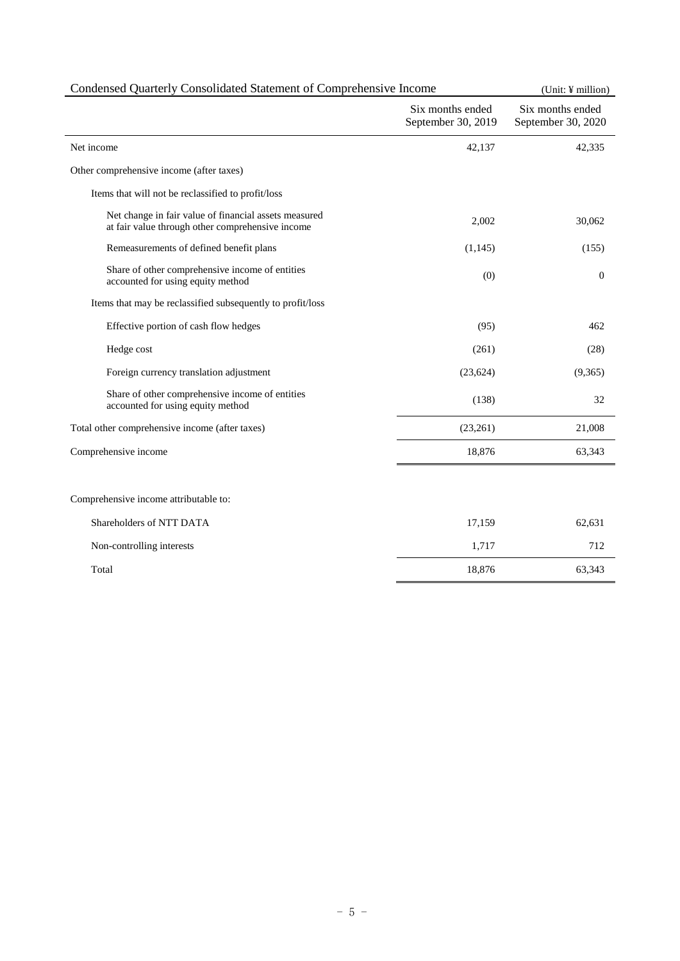| Condensed Quarterly Consolidated Statement of Comprehensive Income                                        | (Unit: ¥ million)                      |                                        |
|-----------------------------------------------------------------------------------------------------------|----------------------------------------|----------------------------------------|
|                                                                                                           | Six months ended<br>September 30, 2019 | Six months ended<br>September 30, 2020 |
| Net income                                                                                                | 42,137                                 | 42,335                                 |
| Other comprehensive income (after taxes)                                                                  |                                        |                                        |
| Items that will not be reclassified to profit/loss                                                        |                                        |                                        |
| Net change in fair value of financial assets measured<br>at fair value through other comprehensive income | 2,002                                  | 30,062                                 |
| Remeasurements of defined benefit plans                                                                   | (1,145)                                | (155)                                  |
| Share of other comprehensive income of entities<br>accounted for using equity method                      | (0)                                    | $\Omega$                               |
| Items that may be reclassified subsequently to profit/loss                                                |                                        |                                        |
| Effective portion of cash flow hedges                                                                     | (95)                                   | 462                                    |
| Hedge cost                                                                                                | (261)                                  | (28)                                   |
| Foreign currency translation adjustment                                                                   | (23, 624)                              | (9,365)                                |
| Share of other comprehensive income of entities<br>accounted for using equity method                      | (138)                                  | 32                                     |
| Total other comprehensive income (after taxes)                                                            | (23,261)                               | 21,008                                 |
| Comprehensive income                                                                                      | 18,876                                 | 63,343                                 |
|                                                                                                           |                                        |                                        |
| Comprehensive income attributable to:                                                                     |                                        |                                        |
| Shareholders of NTT DATA                                                                                  | 17,159                                 | 62,631                                 |
| Non-controlling interests                                                                                 | 1,717                                  | 712                                    |
| Total                                                                                                     | 18,876                                 | 63,343                                 |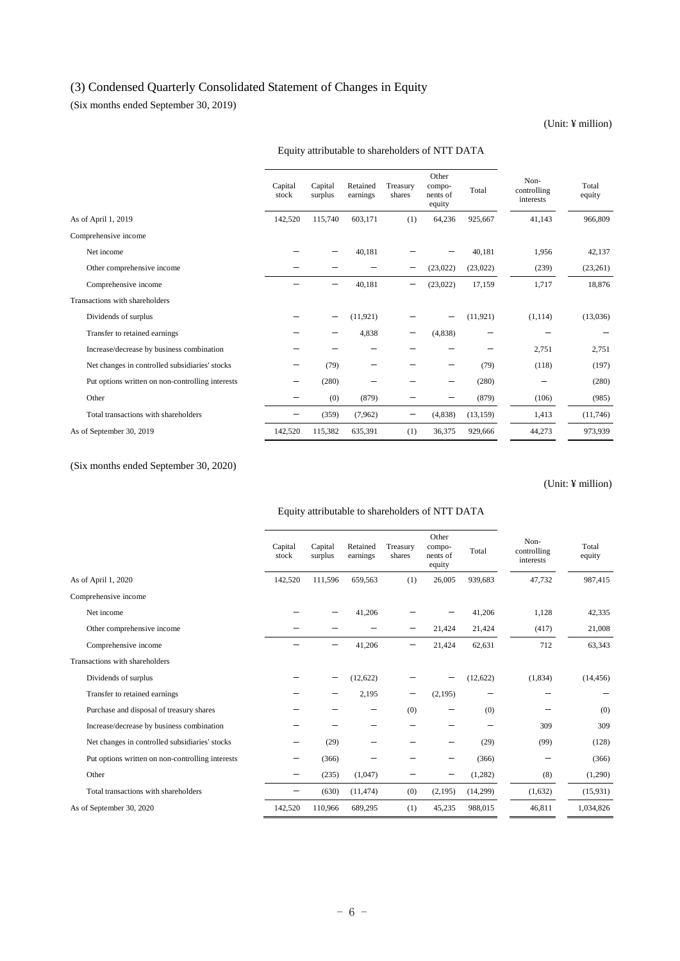## (3) Condensed Quarterly Consolidated Statement of Changes in Equity

(Six months ended September 30, 2019)

(Unit: ¥ million)

|                                                  | Capital<br>stock | Capital<br>surplus | Retained<br>earnings | Treasury<br>shares | Other<br>compo-<br>nents of<br>equity | Total     | Non-<br>controlling<br>interests | Total<br>equity |
|--------------------------------------------------|------------------|--------------------|----------------------|--------------------|---------------------------------------|-----------|----------------------------------|-----------------|
| As of April 1, 2019                              | 142,520          | 115,740            | 603.171              | (1)                | 64,236                                | 925,667   | 41,143                           | 966,809         |
| Comprehensive income                             |                  |                    |                      |                    |                                       |           |                                  |                 |
| Net income                                       |                  |                    | 40,181               |                    |                                       | 40,181    | 1,956                            | 42,137          |
| Other comprehensive income                       |                  |                    |                      |                    | (23,022)                              | (23,022)  | (239)                            | (23,261)        |
| Comprehensive income                             |                  |                    | 40,181               |                    | (23,022)                              | 17,159    | 1,717                            | 18,876          |
| Transactions with shareholders                   |                  |                    |                      |                    |                                       |           |                                  |                 |
| Dividends of surplus                             |                  | —                  | (11, 921)            |                    | —                                     | (11, 921) | (1, 114)                         | (13,036)        |
| Transfer to retained earnings                    |                  |                    | 4,838                |                    | (4,838)                               |           |                                  |                 |
| Increase/decrease by business combination        |                  |                    |                      |                    |                                       |           | 2,751                            | 2,751           |
| Net changes in controlled subsidiaries' stocks   |                  | (79)               |                      |                    |                                       | (79)      | (118)                            | (197)           |
| Put options written on non-controlling interests |                  | (280)              |                      |                    |                                       | (280)     |                                  | (280)           |
| Other                                            |                  | (0)                | (879)                |                    |                                       | (879)     | (106)                            | (985)           |
| Total transactions with shareholders             |                  | (359)              | (7,962)              |                    | (4,838)                               | (13, 159) | 1,413                            | (11,746)        |
| As of September 30, 2019                         | 142,520          | 115,382            | 635,391              | (1)                | 36,375                                | 929,666   | 44,273                           | 973,939         |

Equity attributable to shareholders of NTT DATA

(Six months ended September 30, 2020)

(Unit: ¥ million)

## Equity attributable to shareholders of NTT DATA

|                                                  | Capital<br>stock | Capital<br>surplus | Retained<br>earnings | Treasury<br>shares | Other<br>compo-<br>nents of<br>equity | Total     | Non-<br>controlling<br>interests | Total<br>equity |
|--------------------------------------------------|------------------|--------------------|----------------------|--------------------|---------------------------------------|-----------|----------------------------------|-----------------|
| As of April 1, 2020                              | 142,520          | 111,596            | 659,563              | (1)                | 26,005                                | 939,683   | 47,732                           | 987,415         |
| Comprehensive income                             |                  |                    |                      |                    |                                       |           |                                  |                 |
| Net income                                       |                  |                    | 41,206               |                    |                                       | 41,206    | 1,128                            | 42,335          |
| Other comprehensive income                       |                  |                    |                      |                    | 21,424                                | 21,424    | (417)                            | 21,008          |
| Comprehensive income                             |                  |                    | 41,206               |                    | 21,424                                | 62,631    | 712                              | 63,343          |
| Transactions with shareholders                   |                  |                    |                      |                    |                                       |           |                                  |                 |
| Dividends of surplus                             |                  |                    | (12, 622)            |                    |                                       | (12, 622) | (1,834)                          | (14, 456)       |
| Transfer to retained earnings                    |                  |                    | 2,195                |                    | (2,195)                               |           |                                  |                 |
| Purchase and disposal of treasury shares         |                  |                    |                      | (0)                |                                       | (0)       |                                  | (0)             |
| Increase/decrease by business combination        |                  |                    |                      |                    |                                       |           | 309                              | 309             |
| Net changes in controlled subsidiaries' stocks   | —                | (29)               |                      | —                  |                                       | (29)      | (99)                             | (128)           |
| Put options written on non-controlling interests |                  | (366)              |                      |                    |                                       | (366)     |                                  | (366)           |
| Other                                            |                  | (235)              | (1,047)              |                    |                                       | (1,282)   | (8)                              | (1,290)         |
| Total transactions with shareholders             |                  | (630)              | (11, 474)            | (0)                | (2,195)                               | (14,299)  | (1,632)                          | (15,931)        |
| As of September 30, 2020                         | 142,520          | 110,966            | 689,295              | (1)                | 45,235                                | 988,015   | 46,811                           | 1,034,826       |